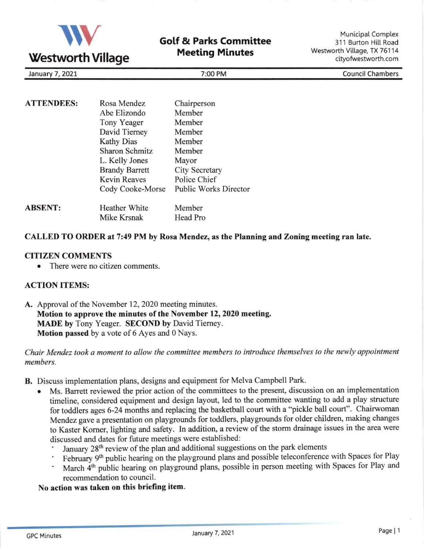

# Gotf & Parks Committee **Meeting Minutes**

Municipal Complex 311 Burton Hill Road Westworth Village, TX 76114 cityofwestworth.com

| 2021<br>January | ':00 PM | Council <sup>7</sup><br><b>Chambers</b> |
|-----------------|---------|-----------------------------------------|

| <b>ATTENDEES:</b> | Rosa Mendez           | Chairperson                  |
|-------------------|-----------------------|------------------------------|
|                   | Abe Elizondo          | Member                       |
|                   | Tony Yeager           | Member                       |
|                   | David Tierney         | Member                       |
|                   | <b>Kathy Dias</b>     | Member                       |
|                   | <b>Sharon Schmitz</b> | Member                       |
|                   | L. Kelly Jones        | Mayor                        |
|                   | <b>Brandy Barrett</b> | City Secretary               |
|                   | <b>Kevin Reaves</b>   | Police Chief                 |
|                   | Cody Cooke-Morse      | <b>Public Works Director</b> |
| <b>ABSENT:</b>    | Heather White         | Member                       |
|                   | Mike Krsnak           | Head Pro                     |

### CALLED TO ORDER at 7:49 PM by Rosa Mendez, as the Planning and Zoning meeting ran late.

#### CITIZEN COMMENTS

There were no citizen comments.

### ACTION ITEMS:

A. Approval of the November 12,2020 meeting minutes. Motion to approve the minutes of the November 12, 2020 meeting. MADE by Tony Yeager. SECOND by David Tierney. Motion passed by a vote of 6 Ayes and 0 Nays.

### Chair Mendez took a moment to allow the committee members to introduce themselves to the newly appointment members.

- B. Discuss implementation plans, designs and equipment for Melva Campbell Park.
	- Ms. Barrett reviewed the prior action of the committees to the present, discussion on an implementation timeline, considered equipment and design layout, led to the committee wanting to add a play structure for toddlers ages 6-24 months and replacing the basketball court with a "pickle ball court". Chairwoman Mendez gave a presentation on playgrounds for toddlers, playgrounds for older children, making changes to Kaster Korner, lighting and safety. In addition, a review of the storm drainage issues in the area were discussed and dates for future meetings were established:
		- January 28<sup>th</sup> review of the plan and additional suggestions on the park elements
		- February 9<sup>th</sup> public hearing on the playground plans and possible teleconference with Spaces for Play
		- March 4<sup>th</sup> public hearing on playground plans, possible in person meeting with Spaces for Play and recommendation to council.

#### No action was taken on this briefing item.